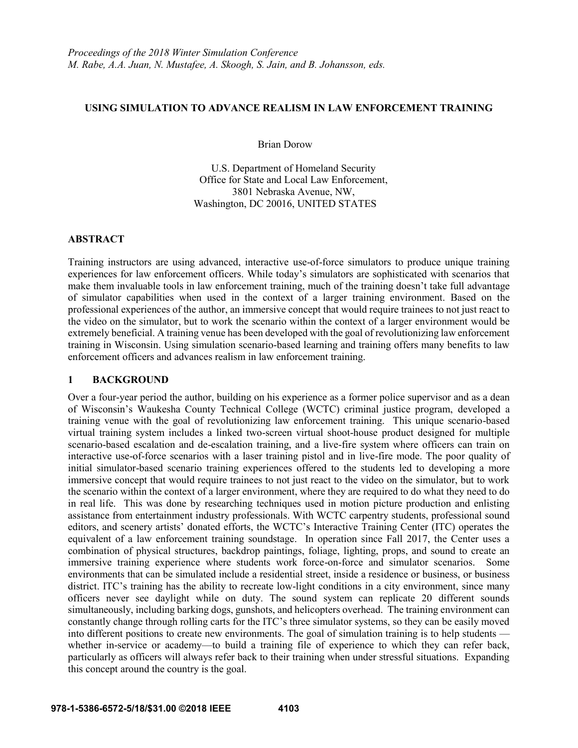#### **USING SIMULATION TO ADVANCE REALISM IN LAW ENFORCEMENT TRAINING**

Brian Dorow

U.S. Department of Homeland Security Office for State and Local Law Enforcement, 3801 Nebraska Avenue, NW, Washington, DC 20016, UNITED STATES

### **ABSTRACT**

Training instructors are using advanced, interactive use-of-force simulators to produce unique training experiences for law enforcement officers. While today's simulators are sophisticated with scenarios that make them invaluable tools in law enforcement training, much of the training doesn't take full advantage of simulator capabilities when used in the context of a larger training environment. Based on the professional experiences of the author, an immersive concept that would require trainees to not just react to the video on the simulator, but to work the scenario within the context of a larger environment would be extremely beneficial. A training venue has been developed with the goal of revolutionizing law enforcement training in Wisconsin. Using simulation scenario-based learning and training offers many benefits to law enforcement officers and advances realism in law enforcement training.

### **1 BACKGROUND**

Over a four-year period the author, building on his experience as a former police supervisor and as a dean of Wisconsin's Waukesha County Technical College (WCTC) criminal justice program, developed a training venue with the goal of revolutionizing law enforcement training. This unique scenario-based virtual training system includes a linked two-screen virtual shoot-house product designed for multiple scenario-based escalation and de-escalation training, and a live-fire system where officers can train on interactive use-of-force scenarios with a laser training pistol and in live-fire mode. The poor quality of initial simulator-based scenario training experiences offered to the students led to developing a more immersive concept that would require trainees to not just react to the video on the simulator, but to work the scenario within the context of a larger environment, where they are required to do what they need to do in real life. This was done by researching techniques used in motion picture production and enlisting assistance from entertainment industry professionals. With WCTC carpentry students, professional sound editors, and scenery artists' donated efforts, the WCTC's Interactive Training Center (ITC) operates the equivalent of a law enforcement training soundstage. In operation since Fall 2017, the Center uses a combination of physical structures, backdrop paintings, foliage, lighting, props, and sound to create an immersive training experience where students work force-on-force and simulator scenarios. Some environments that can be simulated include a residential street, inside a residence or business, or business district. ITC's training has the ability to recreate low-light conditions in a city environment, since many officers never see daylight while on duty. The sound system can replicate 20 different sounds simultaneously, including barking dogs, gunshots, and helicopters overhead. The training environment can constantly change through rolling carts for the ITC's three simulator systems, so they can be easily moved into different positions to create new environments. The goal of simulation training is to help students whether in-service or academy—to build a training file of experience to which they can refer back, particularly as officers will always refer back to their training when under stressful situations. Expanding this concept around the country is the goal.